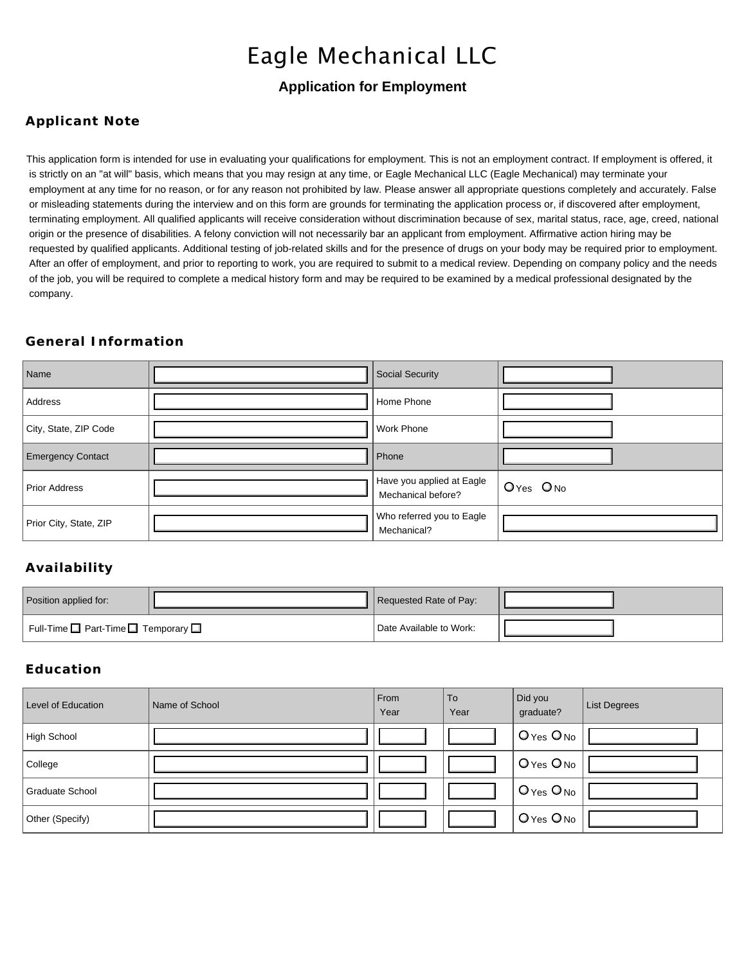# Eagle Mechanical LLC

## **Application for Employment**

### **Applicant Note**

This application form is intended for use in evaluating your qualifications for employment. This is not an employment contract. If employment is offered, it is strictly on an "at will" basis, which means that you may resign at any time, or Eagle Mechanical LLC (Eagle Mechanical) may terminate your employment at any time for no reason, or for any reason not prohibited by law. Please answer all appropriate questions completely and accurately. False or misleading statements during the interview and on this form are grounds for terminating the application process or, if discovered after employment, terminating employment. All qualified applicants will receive consideration without discrimination because of sex, marital status, race, age, creed, national origin or the presence of disabilities. A felony conviction will not necessarily bar an applicant from employment. Affirmative action hiring may be requested by qualified applicants. Additional testing of job-related skills and for the presence of drugs on your body may be required prior to employment. After an offer of employment, and prior to reporting to work, you are required to submit to a medical review. Depending on company policy and the needs of the job, you will be required to complete a medical history form and may be required to be examined by a medical professional designated by the company.

#### **General Information**

| Name                     | Social Security                                 |          |
|--------------------------|-------------------------------------------------|----------|
| Address                  | Home Phone                                      |          |
| City, State, ZIP Code    | <b>Work Phone</b>                               |          |
| <b>Emergency Contact</b> | Phone                                           |          |
| Prior Address            | Have you applied at Eagle<br>Mechanical before? | Oyes ONo |
| Prior City, State, ZIP   | Who referred you to Eagle<br>Mechanical?        |          |

## **Availability**

| Position applied for:                                       |  | Requested Rate of Pay:  |  |
|-------------------------------------------------------------|--|-------------------------|--|
| Full-Time $\square$ Part-Time $\square$ Temporary $\square$ |  | Date Available to Work: |  |

### **Education**

| Level of Education | Name of School | From<br>Year | To<br>Year | Did you<br>graduate? | <b>List Degrees</b> |
|--------------------|----------------|--------------|------------|----------------------|---------------------|
| High School        |                |              |            | $O_{Yes}$ $O_{No}$   |                     |
| College            |                |              |            | O Yes O No           |                     |
| Graduate School    |                |              |            | $O_{Yes}$ $O_{No}$   |                     |
| Other (Specify)    |                |              |            | O Yes O No           |                     |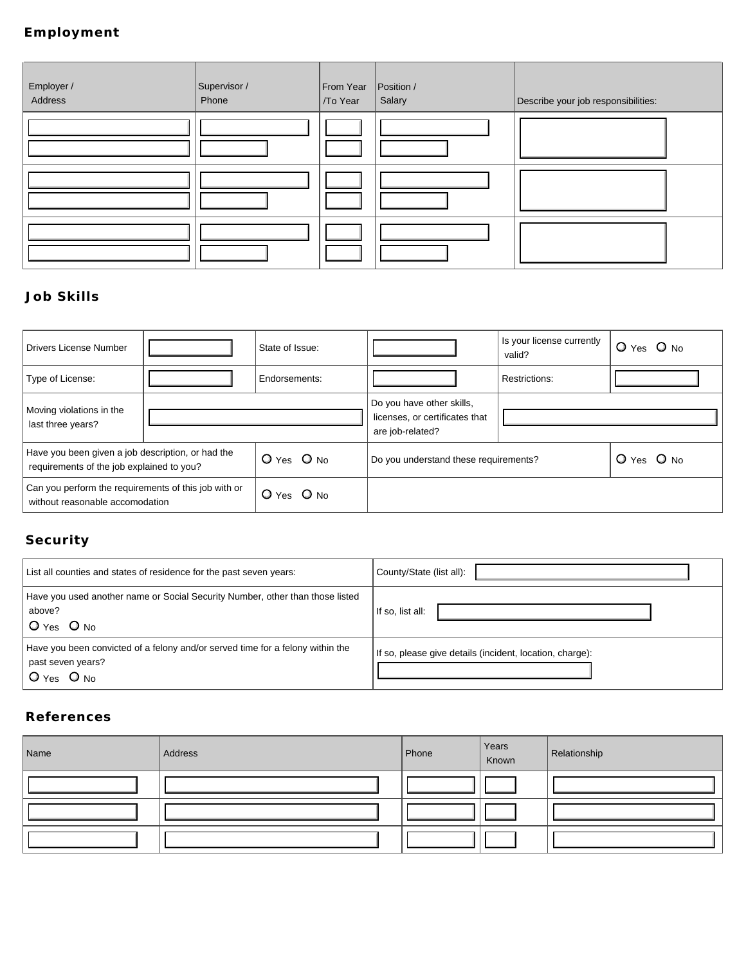## **Employment**

| Employer /<br>Address | Supervisor /<br>Phone | From Year   Position /<br>  /To Year | Salary | Describe your job responsibilities: |
|-----------------------|-----------------------|--------------------------------------|--------|-------------------------------------|
|                       |                       |                                      |        |                                     |
|                       |                       |                                      |        |                                     |
|                       |                       |                                      |        |                                     |

## **Job Skills**

| Drivers License Number                                                                         |  | State of Issue: |                                                                                 | Is your license currently<br>valid? | O Yes O No     |
|------------------------------------------------------------------------------------------------|--|-----------------|---------------------------------------------------------------------------------|-------------------------------------|----------------|
| Type of License:                                                                               |  | Endorsements:   |                                                                                 | Restrictions:                       |                |
| Moving violations in the<br>last three years?                                                  |  |                 | Do you have other skills,<br>licenses, or certificates that<br>are job-related? |                                     |                |
| Have you been given a job description, or had the<br>requirements of the job explained to you? |  | $O$ Yes $O$ No  | Do you understand these requirements?                                           |                                     | $O$ Yes $O$ No |
| Can you perform the requirements of this job with or<br>without reasonable accomodation        |  | $O$ Yes $O$ No  |                                                                                 |                                     |                |

## **Security**

| List all counties and states of residence for the past seven years:                                                   | County/State (list all):                                 |
|-----------------------------------------------------------------------------------------------------------------------|----------------------------------------------------------|
| Have you used another name or Social Security Number, other than those listed<br>above?<br>$O$ Yes $O$ No             | If so, list all:                                         |
| Have you been convicted of a felony and/or served time for a felony within the<br>past seven years?<br>$O$ Yes $O$ No | If so, please give details (incident, location, charge): |

#### **References**

| Name | Address | Phone | Years<br>Known | Relationship |
|------|---------|-------|----------------|--------------|
|      |         |       |                |              |
|      |         |       |                |              |
|      |         |       |                |              |